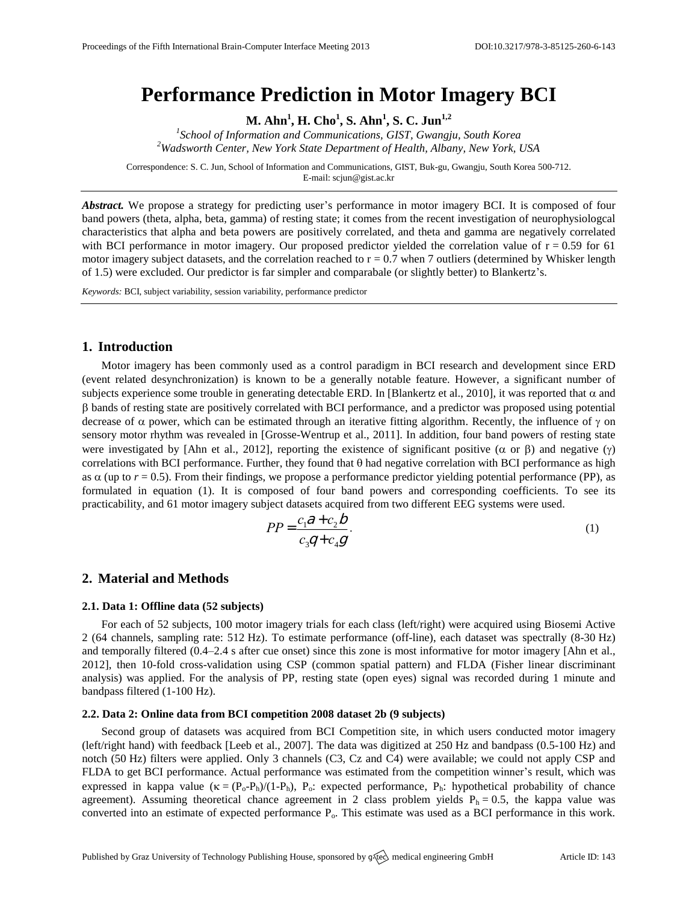# **Performance Prediction in Motor Imagery BCI**

**M. Ahn<sup>1</sup> , H. Cho<sup>1</sup> , S. Ahn<sup>1</sup> , S. C. Jun1,2**

*1 School of Information and Communications, GIST, Gwangju, South Korea <sup>2</sup>Wadsworth Center, New York State Department of Health, Albany, New York, USA*

Correspondence: S. C. Jun, School of Information and Communications, GIST, Buk-gu, Gwangju, South Korea 500-712. E-mail: [scjun@gist.ac.kr](mailto:scjun@gist.ac.kr)

*Abstract.* We propose a strategy for predicting user's performance in motor imagery BCI. It is composed of four band powers (theta, alpha, beta, gamma) of resting state; it comes from the recent investigation of neurophysiologcal characteristics that alpha and beta powers are positively correlated, and theta and gamma are negatively correlated with BCI performance in motor imagery. Our proposed predictor yielded the correlation value of  $r = 0.59$  for 61 motor imagery subject datasets, and the correlation reached to  $r = 0.7$  when 7 outliers (determined by Whisker length of 1.5) were excluded. Our predictor is far simpler and comparabale (or slightly better) to Blankertz's.

*Keywords:* BCI, subject variability, session variability, performance predictor

## **1. Introduction**

Motor imagery has been commonly used as a control paradigm in BCI research and development since ERD (event related desynchronization) is known to be a generally notable feature. However, a significant number of subjects experience some trouble in generating detectable ERD. In [Blankertz et al., 2010], it was reported that  $\alpha$  and bands of resting state are positively correlated with BCI performance, and a predictor was proposed using potential decrease of  $\alpha$  power, which can be estimated through an iterative fitting algorithm. Recently, the influence of  $\gamma$  on sensory motor rhythm was revealed in [Grosse-Wentrup et al., 2011]. In addition, four band powers of resting state were investigated by [Ahn et al., 2012], reporting the existence of significant positive ( $\alpha$  or  $\beta$ ) and negative ( $\gamma$ ) correlations with BCI performance. Further, they found that  $\theta$  had negative correlation with BCI performance as high as  $\alpha$  (up to  $r = 0.5$ ). From their findings, we propose a performance predictor yielding potential performance (PP), as formulated in equation (1). It is composed of four band powers and corresponding coefficients. To see its practicability, and 61 motor imagery subject datasets acquired from two different EEG systems were used.

$$
PP = \frac{c_1 \partial + c_2 b}{c_3 q + c_4 g}.
$$
\n<sup>(1)</sup>

## **2. Material and Methods**

#### **2.1. Data 1: Offline data (52 subjects)**

For each of 52 subjects, 100 motor imagery trials for each class (left/right) were acquired using Biosemi Active 2 (64 channels, sampling rate: 512 Hz). To estimate performance (off-line), each dataset was spectrally (8-30 Hz) and temporally filtered (0.4–2.4 s after cue onset) since this zone is most informative for motor imagery [Ahn et al., 2012], then 10-fold cross-validation using CSP (common spatial pattern) and FLDA (Fisher linear discriminant analysis) was applied. For the analysis of PP, resting state (open eyes) signal was recorded during 1 minute and bandpass filtered (1-100 Hz).

## **2.2. Data 2: Online data from BCI competition 2008 dataset 2b (9 subjects)**

Second group of datasets was acquired from BCI Competition site, in which users conducted motor imagery (left/right hand) with feedback [Leeb et al., 2007]. The data was digitized at 250 Hz and bandpass (0.5-100 Hz) and notch (50 Hz) filters were applied. Only 3 channels (C3, Cz and C4) were available; we could not apply CSP and FLDA to get BCI performance. Actual performance was estimated from the competition winner's result, which was expressed in kappa value  $(\kappa = (P_o - P_h)/(1-P_h), P_o$ : expected performance,  $P_h$ : hypothetical probability of chance agreement). Assuming theoretical chance agreement in 2 class problem yields  $P_h = 0.5$ , the kappa value was converted into an estimate of expected performance Po. This estimate was used as a BCI performance in this work.